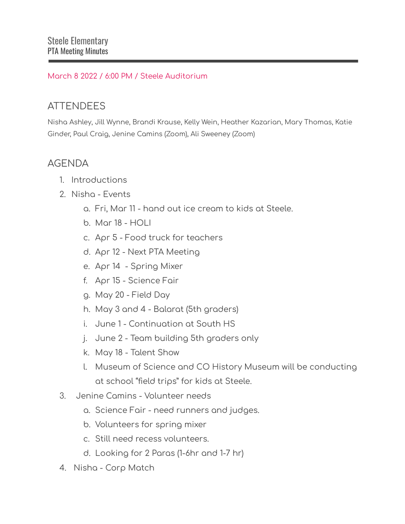## March 8 2022 / 6:00 PM / Steele Auditorium

## **ATTENDEES**

Nisha Ashley, Jill Wynne, Brandi Krause, Kelly Wein, Heather Kazarian, Mary Thomas, Katie Ginder, Paul Craig, Jenine Camins (Zoom), Ali Sweeney (Zoom)

## AGENDA

- 1. Introductions
- 2. Nisha Events
	- a. Fri, Mar 11 hand out ice cream to kids at Steele.
	- b. Mar 18 HOLI
	- c. Apr 5 Food truck for teachers
	- d. Apr 12 Next PTA Meeting
	- e. Apr 14 Spring Mixer
	- f. Apr 15 Science Fair
	- g. May 20 Field Day
	- h. May 3 and 4 Balarat (5th graders)
	- i. June 1 Continuation at South HS
	- j. June 2 Team building 5th graders only
	- k. May 18 Talent Show
	- l. Museum of Science and CO History Museum will be conducting at school "field trips" for kids at Steele.
- 3. Jenine Camins Volunteer needs
	- a. Science Fair need runners and judges.
	- b. Volunteers for spring mixer
	- c. Still need recess volunteers.
	- d. Looking for 2 Paras (1-6hr and 1-7 hr)
- 4. Nisha Corp Match